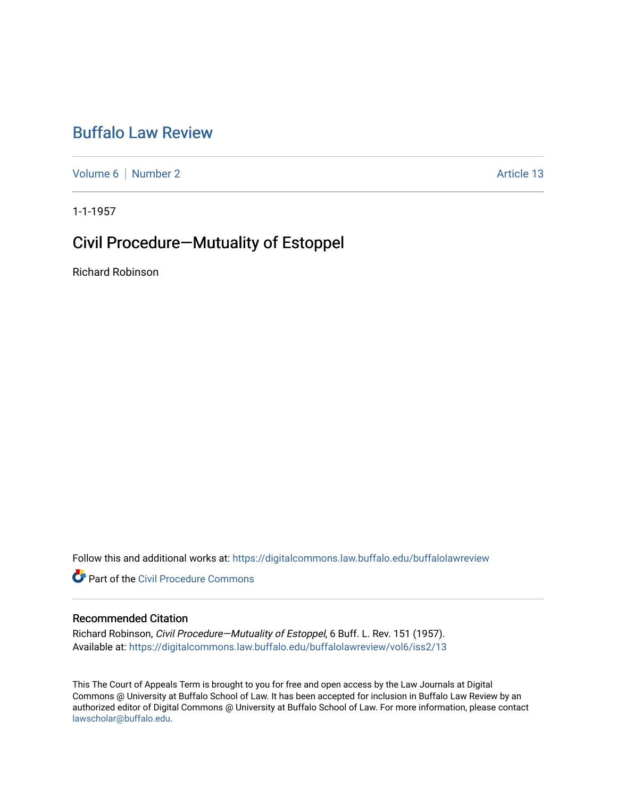# [Buffalo Law Review](https://digitalcommons.law.buffalo.edu/buffalolawreview)

[Volume 6](https://digitalcommons.law.buffalo.edu/buffalolawreview/vol6) | [Number 2](https://digitalcommons.law.buffalo.edu/buffalolawreview/vol6/iss2) Article 13

1-1-1957

# Civil Procedure—Mutuality of Estoppel

Richard Robinson

Follow this and additional works at: [https://digitalcommons.law.buffalo.edu/buffalolawreview](https://digitalcommons.law.buffalo.edu/buffalolawreview?utm_source=digitalcommons.law.buffalo.edu%2Fbuffalolawreview%2Fvol6%2Fiss2%2F13&utm_medium=PDF&utm_campaign=PDFCoverPages) 

**P** Part of the Civil Procedure Commons

### Recommended Citation

Richard Robinson, Civil Procedure—Mutuality of Estoppel, 6 Buff. L. Rev. 151 (1957). Available at: [https://digitalcommons.law.buffalo.edu/buffalolawreview/vol6/iss2/13](https://digitalcommons.law.buffalo.edu/buffalolawreview/vol6/iss2/13?utm_source=digitalcommons.law.buffalo.edu%2Fbuffalolawreview%2Fvol6%2Fiss2%2F13&utm_medium=PDF&utm_campaign=PDFCoverPages) 

This The Court of Appeals Term is brought to you for free and open access by the Law Journals at Digital Commons @ University at Buffalo School of Law. It has been accepted for inclusion in Buffalo Law Review by an authorized editor of Digital Commons @ University at Buffalo School of Law. For more information, please contact [lawscholar@buffalo.edu](mailto:lawscholar@buffalo.edu).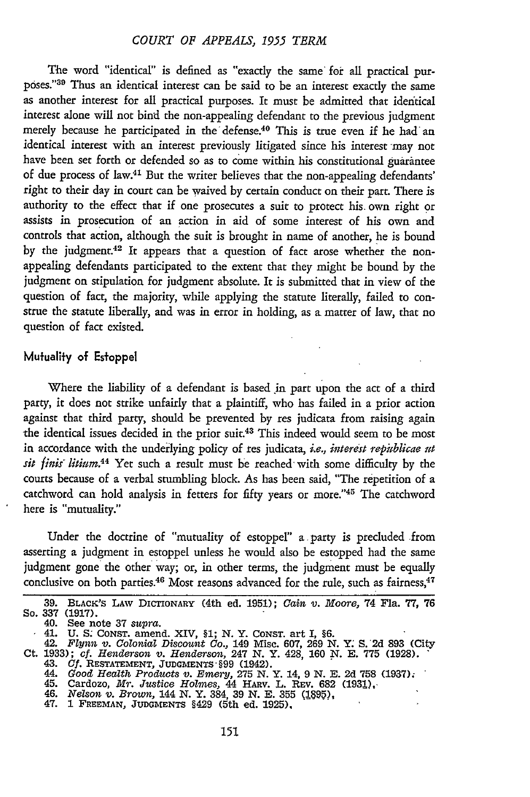The word "identical" is defined as "exactly the same' for all practical putp6ses."<sup>3</sup> 9 Thus an identical interest can be said to be an interest exactly the same as another interest for all practical purposes. It must be admitted that identical interest alone will not bind the non-appealing defendant to the previous judgment merely because he participated in the defense.<sup>40</sup> This is true even if he had an identical interest with an interest previously litigated since his interest may not have been set forth or defended so as to come within his constitutional guarantee of due process of law.41 But the writer believes that the non-appealing defendants' right to their day in court can be waived by certain conduct on their part. There is authority to the effect that if one prosecutes a suit to protect his. own right or assists in prosecution of an action in aid of some interest of his own and controls that action, although the suit is brought in name of another, he is bound by the judgment.42 It appears that a question of fact arose whether the nonappealing defendants participated to the extent that they might be bound by the judgment on stipulation for judgment absolute. It is submitted that in view of the question of fact, the majority, while applying the statute literally, failed to construe the statute liberally, and was in error in holding, as a matter of law, that no question of fact existed.

### Mufualify of Esfoppel

Where the liability of a defendant is based in part upon the act of a third party, it does not strike unfairly that a plaintiff, who has failed in a prior action against that third party, should be prevented by res judicata from raising again the identical issues decided in the prior suit.<sup>43</sup> This indeed would seem to be most in accordance with the underlying policy of res judicata, *i.e., interest republicae ut sit finis litium.*<sup>44</sup> Yet such a result must be reached with some difficulty by the courts because of a verbal stumbling block. As has been said, "The repetition of a catchword can hold analysis in fetters for fifty years or more."45 The catchword here is "mutuality."

Under the doctrine of "mutuality of estoppel" a party is precluded from asserting a judgment in estoppel unless he would also be estopped had the same judgment gone the other way; or, in other terms, the judgment must be equally conclusive on both parties.<sup>46</sup> Most reasons advanced for the rule, such as fairness,<sup>47</sup>

<sup>39.</sup> BLACK'S LAW DICTIONARY (4th ed. 1951); *Cain v. Moore, 74 Fla. 77, 76* So. 337 (1917).

So. 337 (1917).<br>
40. See note 37 supra.<br>
41. U. S. Consr. amend. XIV, \$1; N. Y. Consr. art I, \$6.<br>
42. Flynn v. Colonial Discount Co., 149 Misc. 607, 269 N. Y. S. 2d 893 (City<br>
2d. 33), cf. Henderson v. Henderson, 247 N. Y

<sup>45.</sup> Cardozo, *Mr. Justice Holmes, 44 HARv. L. REV. 682 (1931)*, 45. *Newler Holmes, 44 HARv. L. REV. 682 (1931)*,

<sup>47. 1</sup> **FREEMAN, JUDGMENTS** §429 (5th ed. **1925).**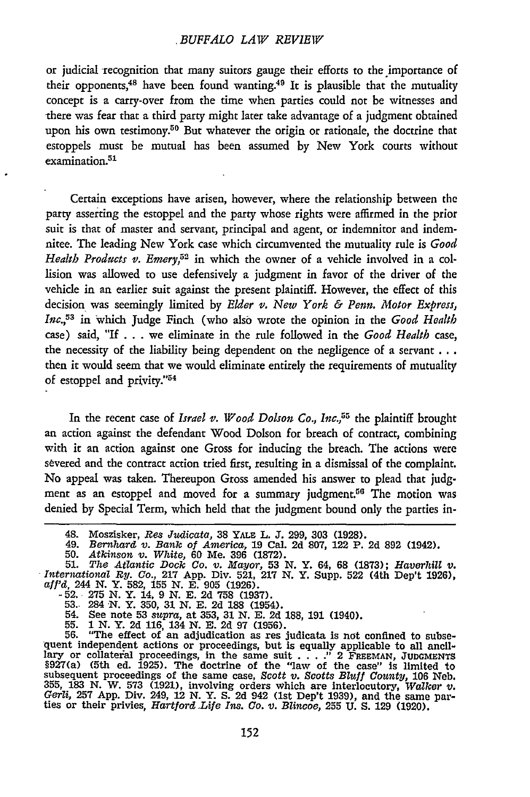#### *BUFFALO LAW REVIEW*

or judicial recognition that many suitors gauge their efforts to the importance of their opponents,<sup>48</sup> have been found wanting.<sup>49</sup> It is plausible that the mutuality concept is a carry-over from the time when parties could not be witnesses and -there was fear that a third party might later take advantage of a judgment obtained upon his own testimony.<sup>50</sup> But whatever the origin or rationale, the doctrine that estoppels must be mutual has been assumed by New York courts without examination.<sup>51</sup>

Certain exceptions have arisen, however, where the relationship between the party asserting the estoppel and the party whose rights were affirmed in the prior suit is that of master and servant, principal and agent, or indemnitor and indemnitee. The leading New York case which circumvented the mutuality rule is *Good Health Products v. Emery,52* in which the owner of a vehicle involved in a collision was allowed to use defensively a judgment in favor of the driver of the vehide in an earlier suit against the present plaintiff. However, the effect of this decision was seemingly limited by *Elder v. New York & Penn. Motor Express, Inc.,15 <sup>3</sup>*in which Judge Finch (who also wrote the opinion in the *Good Health* case) said, **"If** . . . we eliminate in the rule followed in the *Good Health* case, the necessity of the liability being dependent on the negligence of a servant  $\dots$ then it would seem that we would eliminate entirely the requirements of mutuality of estoppel and privity."<sup>54</sup>

In the recent case of *Israel v. Wood Dolson Co., Inc.,55* the plaintiff brought an action against the defendant Wood Dolson for breach of contract, combining with it an action against one Gross for inducing the breach. The actions were severed and the contract action tried first, resulting in a dismissal of the complaint. No appeal was taken. Thereupon Gross amended his answer to plead that judgment as an estoppel and moved for a summary judgment.<sup>56</sup> The motion was denied by Special Term, which held that the judgment bound only the parties in-

- -52. **275 N.** *Y.* 14, 9 **N. E.** 2d **758** (1937). 53.. 284 **,N.** Y. 350, **31 N.** E. 2d **188** (1954).
- 
- 54. See note **53** *supra,* at 353, 31 **N. E.** 2d **188, 191** (1940). **55. 1 N.** Y. 2d 116, 134 *N.* **E.** 2d 97 (1956).
- 

56. "The effect of an adjudication as res judicata is not confined to subsequent independent actions or proceedings, but is equally applicable to all ancillary or collateral proceedings, in the same suit  $\ldots$ ." 2 FREEMAN §927(a) (5th ed. 1925). The doctrine of the 'law of the case" Is limited to subsequent proceedings of the same case, *Scott v. Scotts Bluff County,* **106** Neb. 355, 183 N. W. 573 (1921), involving orders which are interlocutory, Walker v. Gerli, 257 App. Div. 249, 12 N. Y. S. 2d 942 (1st Dep't 1939), and the same par-<br>Gerli, 257 App. Div. 249, 12 N. Y. S. 2d 942 (1st Dep't 1939)

<sup>48.</sup> Moszisker, Res Judicata, 38 YALE L. J. 299, 303 (1928).<br>49. *Bernhard v. Bank of America,* 19 Cal. 2d 807, 122 P. 2d 892 (1942).<br>50. *Atkinson v. White,* 60 Me. 396 (1872).<br>51. *The Atlantic Dock Co. v. Mayor,* 53 N. Y

*International By. Co.,* 217 **App.** Div. 521, **217 N.** Y. Supp. **522** (4th Dep't 1926), *aff'd,* 244 **N.** Y. **582, 155 N. E. 905 (1926).**